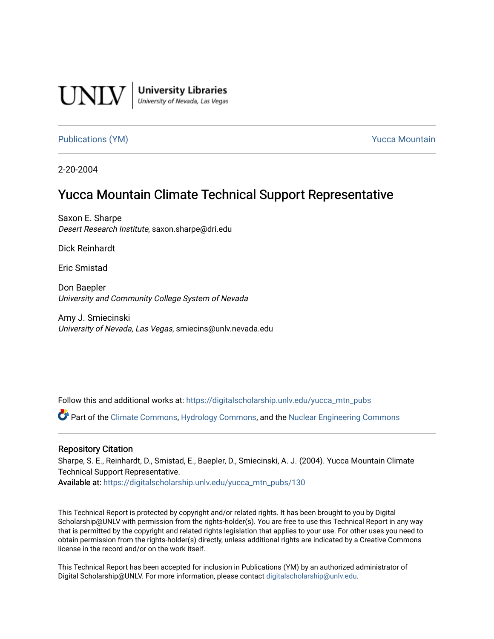

**University Libraries**<br>University of Nevada, Las Vegas

[Publications \(YM\)](https://digitalscholarship.unlv.edu/yucca_mtn_pubs) **Publications (YM) Publications (YM) Publications** (*YM*)

2-20-2004

# Yucca Mountain Climate Technical Support Representative

Saxon E. Sharpe Desert Research Institute, saxon.sharpe@dri.edu

Dick Reinhardt

Eric Smistad

Don Baepler University and Community College System of Nevada

Amy J. Smiecinski University of Nevada, Las Vegas, smiecins@unlv.nevada.edu

Follow this and additional works at: [https://digitalscholarship.unlv.edu/yucca\\_mtn\\_pubs](https://digitalscholarship.unlv.edu/yucca_mtn_pubs?utm_source=digitalscholarship.unlv.edu%2Fyucca_mtn_pubs%2F130&utm_medium=PDF&utm_campaign=PDFCoverPages)

Part of the [Climate Commons,](http://network.bepress.com/hgg/discipline/188?utm_source=digitalscholarship.unlv.edu%2Fyucca_mtn_pubs%2F130&utm_medium=PDF&utm_campaign=PDFCoverPages) [Hydrology Commons,](http://network.bepress.com/hgg/discipline/1054?utm_source=digitalscholarship.unlv.edu%2Fyucca_mtn_pubs%2F130&utm_medium=PDF&utm_campaign=PDFCoverPages) and the [Nuclear Engineering Commons](http://network.bepress.com/hgg/discipline/314?utm_source=digitalscholarship.unlv.edu%2Fyucca_mtn_pubs%2F130&utm_medium=PDF&utm_campaign=PDFCoverPages) 

#### Repository Citation

Sharpe, S. E., Reinhardt, D., Smistad, E., Baepler, D., Smiecinski, A. J. (2004). Yucca Mountain Climate Technical Support Representative.

Available at: [https://digitalscholarship.unlv.edu/yucca\\_mtn\\_pubs/130](https://digitalscholarship.unlv.edu/yucca_mtn_pubs/130) 

This Technical Report is protected by copyright and/or related rights. It has been brought to you by Digital Scholarship@UNLV with permission from the rights-holder(s). You are free to use this Technical Report in any way that is permitted by the copyright and related rights legislation that applies to your use. For other uses you need to obtain permission from the rights-holder(s) directly, unless additional rights are indicated by a Creative Commons license in the record and/or on the work itself.

This Technical Report has been accepted for inclusion in Publications (YM) by an authorized administrator of Digital Scholarship@UNLV. For more information, please contact [digitalscholarship@unlv.edu](mailto:digitalscholarship@unlv.edu).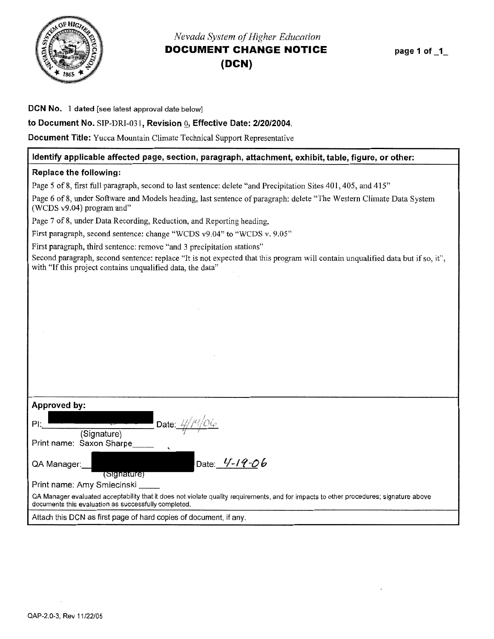<span id="page-1-0"></span>

# *Nevada System of Higher Education*  **DOCUMENT CHANGE NOTICE (DCN)**

**page 1 of \_1\_** 

#### **DCN No. 1 dated** [see latest approval date below]

#### **to Document No.** SIP-DRI-031, **Revision Q, Effective Date: 2/20/2004.**

**Document Title:** Yucca Mountain Climate Technical Support Representative

#### **Identify applicable affected page, section, paragraph, attachment, exhibit, table, figure, or other:**

#### **Replace the following:**

Page 5 of 8, first full paragraph, second to last sentence: delete "and Precipitation Sites 401, 405, and 415"

Page 6 of 8, under Software and Models heading, last sentence of paragraph: delete "The Western Climate Data System (WCDS v9.04) program and"

Page 7 of 8, under Data Recording, Reduction, and Reporting heading,

First paragraph, second sentence: change "WCDS v9.04" to "WCDS v. 9.05"

First paragraph, third sentence: remove "and 3 precipitation stations"

Second paragraph, second sentence: replace "It is not expected that this program will contain unqualified data but if so, it", with "If this project contains unqualified data, the data"

| Approved by:                                                                                                                                                                                   |
|------------------------------------------------------------------------------------------------------------------------------------------------------------------------------------------------|
| Date: $4/14/06$<br>PL<br>(Signature)                                                                                                                                                           |
| Print name: Saxon Sharpe                                                                                                                                                                       |
| Date: 4-19-06<br>QA Manager:<br>(Signature)                                                                                                                                                    |
| Print name: Amy Smiecinski                                                                                                                                                                     |
| QA Manager evaluated acceptability that it does not violate quality requirements, and for impacts to other procedures; signature above<br>documents this evaluation as successfully completed. |
| .                                                                                                                                                                                              |

Attach this DCN as first page of hard copies of document, if any.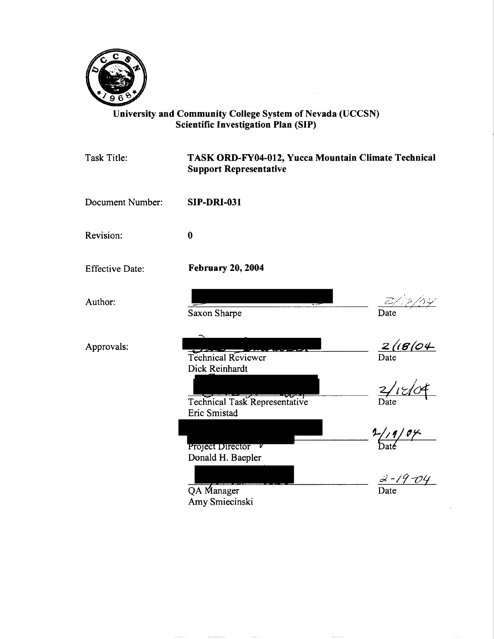

# University and Community College System of Nevada (UCCSN) Scientific Investigation Plan (SIP)

 $\hat{\boldsymbol{\beta}}$ 

| <b>Task Title:</b>     | TASK ORD-FY04-012, Yucca Mountain Climate Technical<br><b>Support Representative</b> |                        |
|------------------------|--------------------------------------------------------------------------------------|------------------------|
| Document Number:       | <b>SIP-DRI-031</b>                                                                   |                        |
| Revision:              | $\bf{0}$                                                                             |                        |
| <b>Effective Date:</b> | <b>February 20, 2004</b>                                                             |                        |
| Author:                | Saxon Sharpe                                                                         | Date                   |
| Approvals:             | <b>Technical Reviewer</b><br>Dick Reinhardt                                          | $\frac{2/(B/O4)}{200}$ |
|                        | स्ट⊽स<br>Technical Task Representative<br>Eric Smistad                               | $\frac{2/18}{2}$       |
|                        | Project Director v<br>Donald H. Baepler                                              | 1/19/04                |
|                        | QA Manager<br>Amy Smiecinski                                                         | $3 - 19 - 04$          |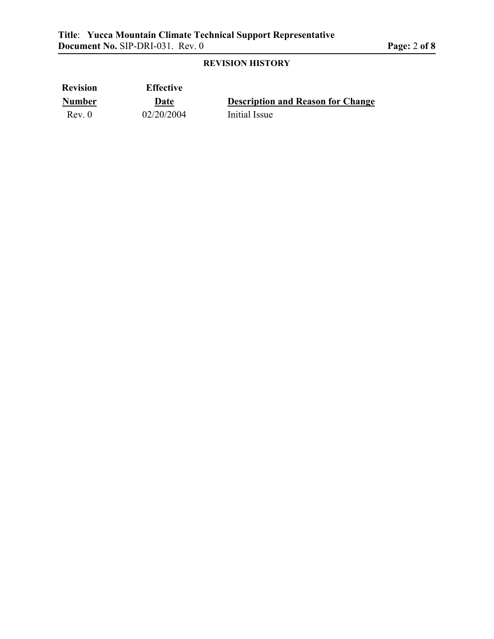# **REVISION HISTORY**

| <b>Revision</b> | <b>Effective</b> |                                          |
|-----------------|------------------|------------------------------------------|
| <b>Number</b>   | Date             | <b>Description and Reason for Change</b> |
| Rev. 0          | 02/20/2004       | Initial Issue                            |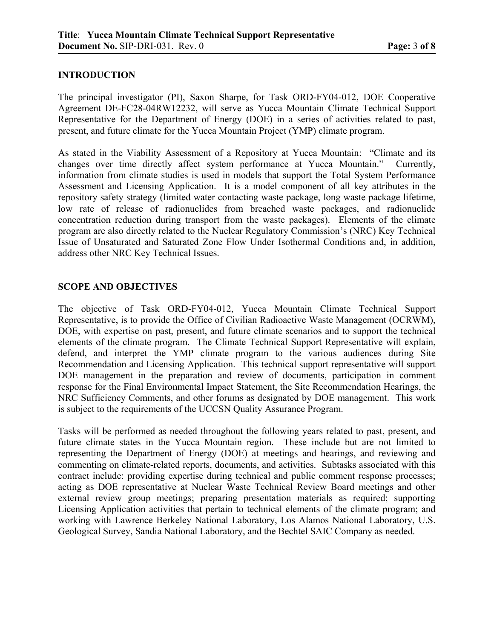# **INTRODUCTION**

The principal investigator (PI), Saxon Sharpe, for Task ORD-FY04-012, DOE Cooperative Agreement DE-FC28-04RW12232, will serve as Yucca Mountain Climate Technical Support Representative for the Department of Energy (DOE) in a series of activities related to past, present, and future climate for the Yucca Mountain Project (YMP) climate program.

As stated in the Viability Assessment of a Repository at Yucca Mountain: "Climate and its changes over time directly affect system performance at Yucca Mountain." Currently, information from climate studies is used in models that support the Total System Performance Assessment and Licensing Application. It is a model component of all key attributes in the repository safety strategy (limited water contacting waste package, long waste package lifetime, low rate of release of radionuclides from breached waste packages, and radionuclide concentration reduction during transport from the waste packages). Elements of the climate program are also directly related to the Nuclear Regulatory Commission's (NRC) Key Technical Issue of Unsaturated and Saturated Zone Flow Under Isothermal Conditions and, in addition, address other NRC Key Technical Issues.

#### **SCOPE AND OBJECTIVES**

The objective of Task ORD-FY04-012, Yucca Mountain Climate Technical Support Representative, is to provide the Office of Civilian Radioactive Waste Management (OCRWM), DOE, with expertise on past, present, and future climate scenarios and to support the technical elements of the climate program. The Climate Technical Support Representative will explain, defend, and interpret the YMP climate program to the various audiences during Site Recommendation and Licensing Application. This technical support representative will support DOE management in the preparation and review of documents, participation in comment response for the Final Environmental Impact Statement, the Site Recommendation Hearings, the NRC Sufficiency Comments, and other forums as designated by DOE management. This work is subject to the requirements of the UCCSN Quality Assurance Program.

Tasks will be performed as needed throughout the following years related to past, present, and future climate states in the Yucca Mountain region. These include but are not limited to representing the Department of Energy (DOE) at meetings and hearings, and reviewing and commenting on climate-related reports, documents, and activities. Subtasks associated with this contract include: providing expertise during technical and public comment response processes; acting as DOE representative at Nuclear Waste Technical Review Board meetings and other external review group meetings; preparing presentation materials as required; supporting Licensing Application activities that pertain to technical elements of the climate program; and working with Lawrence Berkeley National Laboratory, Los Alamos National Laboratory, U.S. Geological Survey, Sandia National Laboratory, and the Bechtel SAIC Company as needed.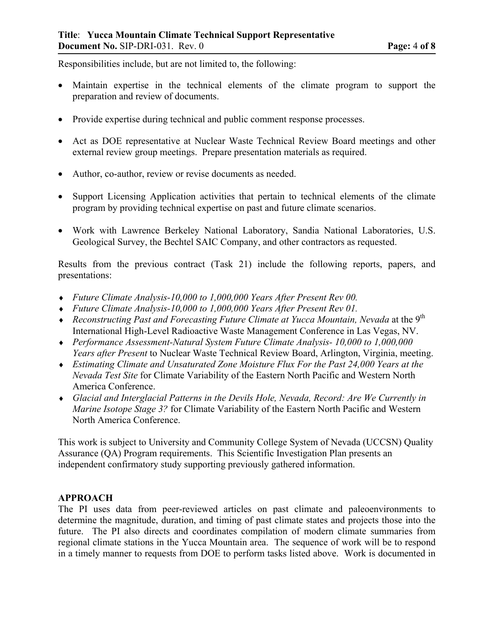Responsibilities include, but are not limited to, the following:

- Maintain expertise in the technical elements of the climate program to support the preparation and review of documents.
- Provide expertise during technical and public comment response processes.
- Act as DOE representative at Nuclear Waste Technical Review Board meetings and other external review group meetings. Prepare presentation materials as required.
- Author, co-author, review or revise documents as needed.
- Support Licensing Application activities that pertain to technical elements of the climate program by providing technical expertise on past and future climate scenarios.
- Work with Lawrence Berkeley National Laboratory, Sandia National Laboratories, U.S. Geological Survey, the Bechtel SAIC Company, and other contractors as requested.

Results from the previous contract (Task 21) include the following reports, papers, and presentations:

- ♦ *Future Climate Analysis-10,000 to 1,000,000 Years After Present Rev 00.*
- ♦ *Future Climate Analysis-10,000 to 1,000,000 Years After Present Rev 01.*
- ♦ *Reconstructing Past and Forecasting Future Climate at Yucca Mountain, Nevada* at the 9th International High-Level Radioactive Waste Management Conference in Las Vegas, NV.
- ♦ *Performance Assessment-Natural System Future Climate Analysis- 10,000 to 1,000,000 Years after Present* to Nuclear Waste Technical Review Board, Arlington, Virginia, meeting.
- ♦ *Estimating Climate and Unsaturated Zone Moisture Flux For the Past 24,000 Years at the Nevada Test Site* for Climate Variability of the Eastern North Pacific and Western North America Conference.
- ♦ *Glacial and Interglacial Patterns in the Devils Hole, Nevada, Record: Are We Currently in Marine Isotope Stage 3?* for Climate Variability of the Eastern North Pacific and Western North America Conference.

This work is subject to University and Community College System of Nevada (UCCSN) Quality Assurance (QA) Program requirements. This Scientific Investigation Plan presents an independent confirmatory study supporting previously gathered information.

#### **APPROACH**

The PI uses data from peer-reviewed articles on past climate and paleoenvironments to determine the magnitude, duration, and timing of past climate states and projects those into the future. The PI also directs and coordinates compilation of modern climate summaries from regional climate stations in the Yucca Mountain area. The sequence of work will be to respond in a timely manner to requests from DOE to perform tasks listed above. Work is documented in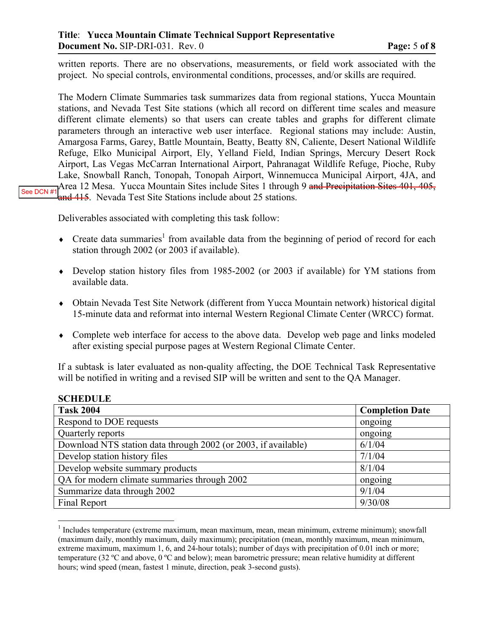written reports. There are no observations, measurements, or field work associated with the project. No special controls, environmental conditions, processes, and/or skills are required.

The Modern Climate Summaries task summarizes data from regional stations, Yucca Mountain stations, and Nevada Test Site stations (which all record on different time scales and measure different climate elements) so that users can create tables and graphs for different climate parameters through an interactive web user interface. Regional stations may include: Austin, Amargosa Farms, Garey, Battle Mountain, Beatty, Beatty 8N, Caliente, Desert National Wildlife Refuge, Elko Municipal Airport, Ely, Yelland Field, Indian Springs, Mercury Desert Rock Airport, Las Vegas McCarran International Airport, Pahranagat Wildlife Refuge, Pioche, Ruby Lake, Snowball Ranch, Tonopah, Tonopah Airport, Winnemucca Municipal Airport, 4JA, and Area 12 Mesa. Yucca Mountain Sites include Sites 1 through 9 and Precipitation Sites 401, 405, and 415. Nevada Test Site Stations include about 25 stations. [See DCN #1](#page-1-0)

Deliverables associated with completing this task follow:

**SCHEDULE** 

 $\overline{a}$ 

- $\bullet$  Create data summaries<sup>1</sup> from available data from the beginning of period of record for each station through 2002 (or 2003 if available).
- ♦ Develop station history files from 1985-2002 (or 2003 if available) for YM stations from available data.
- ♦ Obtain Nevada Test Site Network (different from Yucca Mountain network) historical digital 15-minute data and reformat into internal Western Regional Climate Center (WRCC) format.
- ♦ Complete web interface for access to the above data. Develop web page and links modeled after existing special purpose pages at Western Regional Climate Center.

If a subtask is later evaluated as non-quality affecting, the DOE Technical Task Representative will be notified in writing and a revised SIP will be written and sent to the QA Manager.

| <b>Completion Date</b> |
|------------------------|
| ongoing                |
| ongoing                |
| 6/1/04                 |
| 7/1/04                 |
| 8/1/04                 |
| ongoing                |
| 9/1/04                 |
| 9/30/08                |
|                        |

<sup>&</sup>lt;sup>1</sup> Includes temperature (extreme maximum, mean maximum, mean, mean minimum, extreme minimum); snowfall (maximum daily, monthly maximum, daily maximum); precipitation (mean, monthly maximum, mean minimum, extreme maximum, maximum 1, 6, and 24-hour totals); number of days with precipitation of 0.01 inch or more; temperature (32 ºC and above, 0 ºC and below); mean barometric pressure; mean relative humidity at different hours; wind speed (mean, fastest 1 minute, direction, peak 3-second gusts).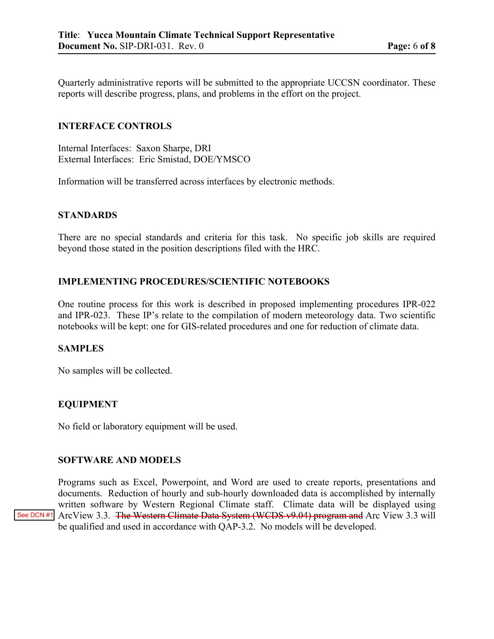Quarterly administrative reports will be submitted to the appropriate UCCSN coordinator. These reports will describe progress, plans, and problems in the effort on the project.

#### **INTERFACE CONTROLS**

Internal Interfaces: Saxon Sharpe, DRI External Interfaces: Eric Smistad, DOE/YMSCO

Information will be transferred across interfaces by electronic methods.

#### **STANDARDS**

There are no special standards and criteria for this task. No specific job skills are required beyond those stated in the position descriptions filed with the HRC.

## **IMPLEMENTING PROCEDURES/SCIENTIFIC NOTEBOOKS**

One routine process for this work is described in proposed implementing procedures IPR-022 and IPR-023. These IP's relate to the compilation of modern meteorology data. Two scientific notebooks will be kept: one for GIS-related procedures and one for reduction of climate data.

#### **SAMPLES**

No samples will be collected.

#### **EQUIPMENT**

No field or laboratory equipment will be used.

#### **SOFTWARE AND MODELS**

Programs such as Excel, Powerpoint, and Word are used to create reports, presentations and documents. Reduction of hourly and sub-hourly downloaded data is accomplished by internally written software by Western Regional Climate staff. Climate data will be displayed using [See DCN #1](#page-1-0) ArcView 3.3. The Western Climate Data System (WCDS v9.04) program and Arc View 3.3 will be qualified and used in accordance with QAP-3.2. No models will be developed.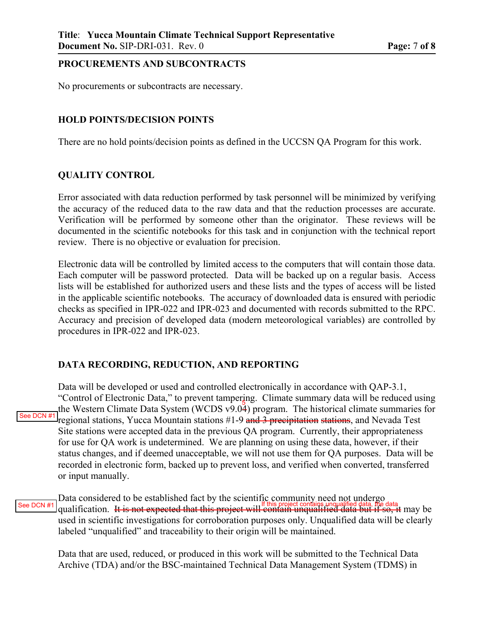#### **PROCUREMENTS AND SUBCONTRACTS**

No procurements or subcontracts are necessary.

#### **HOLD POINTS/DECISION POINTS**

There are no hold points/decision points as defined in the UCCSN QA Program for this work.

#### **QUALITY CONTROL**

Error associated with data reduction performed by task personnel will be minimized by verifying the accuracy of the reduced data to the raw data and that the reduction processes are accurate. Verification will be performed by someone other than the originator. These reviews will be documented in the scientific notebooks for this task and in conjunction with the technical report review. There is no objective or evaluation for precision.

Electronic data will be controlled by limited access to the computers that will contain those data. Each computer will be password protected. Data will be backed up on a regular basis. Access lists will be established for authorized users and these lists and the types of access will be listed in the applicable scientific notebooks. The accuracy of downloaded data is ensured with periodic checks as specified in IPR-022 and IPR-023 and documented with records submitted to the RPC. Accuracy and precision of developed data (modern meteorological variables) are controlled by procedures in IPR-022 and IPR-023.

## **DATA RECORDING, REDUCTION, AND REPORTING**

Data will be developed or used and controlled electronically in accordance with QAP-3.1, "Control of Electronic Data," to prevent tampering. Climate summary data will be reduced using the Western Climate Data System (WCDS v9.04) program. The historical climate summaries for regional stations, Yucca Mountain stations #1-9 and 3 precipitation stations, and Nevada Test Site stations were accepted data in the previous QA program. Currently, their appropriateness for use for QA work is undetermined. We are planning on using these data, however, if their status changes, and if deemed unacceptable, we will not use them for QA purposes. Data will be recorded in electronic form, backed up to prevent loss, and verified when converted, transferred or input manually. [See DCN #1](#page-1-0)

Data considered to be established fact by the scientific community need not undergo [See DCN #1](#page-1-0) qualification. It is not expected that this project will contain unqualified data but if so, it may be used in scientific investigations for corroboration purposes only. Unqualified data will be clearly labeled "unqualified" and traceability to their origin will be maintained.

Data that are used, reduced, or produced in this work will be submitted to the Technical Data Archive (TDA) and/or the BSC-maintained Technical Data Management System (TDMS) in